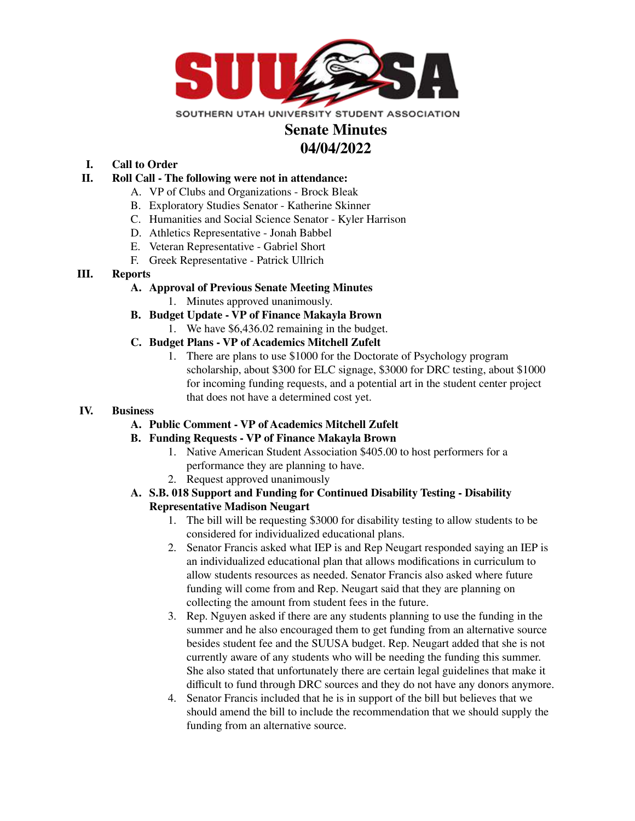

# **Senate Minutes 04/04/2022**

**I. Call to Order**

## **II. Roll Call - The following were not in attendance:**

- A. VP of Clubs and Organizations Brock Bleak
- B. Exploratory Studies Senator Katherine Skinner
- C. Humanities and Social Science Senator Kyler Harrison
- D. Athletics Representative Jonah Babbel
- E. Veteran Representative Gabriel Short
- F. Greek Representative Patrick Ullrich

## **III. Reports**

## **A. Approval of Previous Senate Meeting Minutes**

- 1. Minutes approved unanimously.
- **B. Budget Update - VP of Finance Makayla Brown**
	- 1. We have \$6,436.02 remaining in the budget.
- **C. Budget Plans - VP of Academics Mitchell Zufelt**
	- 1. There are plans to use \$1000 for the Doctorate of Psychology program scholarship, about \$300 for ELC signage, \$3000 for DRC testing, about \$1000 for incoming funding requests, and a potential art in the student center project that does not have a determined cost yet.

#### **IV. Business**

#### **A. Public Comment - VP of Academics Mitchell Zufelt**

- **B. Funding Requests - VP of Finance Makayla Brown**
	- 1. Native American Student Association \$405.00 to host performers for a performance they are planning to have.
	- 2. Request approved unanimously
- **A. S.B. 018 Support and Funding for Continued Disability Testing - Disability Representative Madison Neugart**
	- 1. The bill will be requesting \$3000 for disability testing to allow students to be considered for individualized educational plans.
	- 2. Senator Francis asked what IEP is and Rep Neugart responded saying an IEP is an individualized educational plan that allows modifications in curriculum to allow students resources as needed. Senator Francis also asked where future funding will come from and Rep. Neugart said that they are planning on collecting the amount from student fees in the future.
	- 3. Rep. Nguyen asked if there are any students planning to use the funding in the summer and he also encouraged them to get funding from an alternative source besides student fee and the SUUSA budget. Rep. Neugart added that she is not currently aware of any students who will be needing the funding this summer. She also stated that unfortunately there are certain legal guidelines that make it difficult to fund through DRC sources and they do not have any donors anymore.
	- 4. Senator Francis included that he is in support of the bill but believes that we should amend the bill to include the recommendation that we should supply the funding from an alternative source.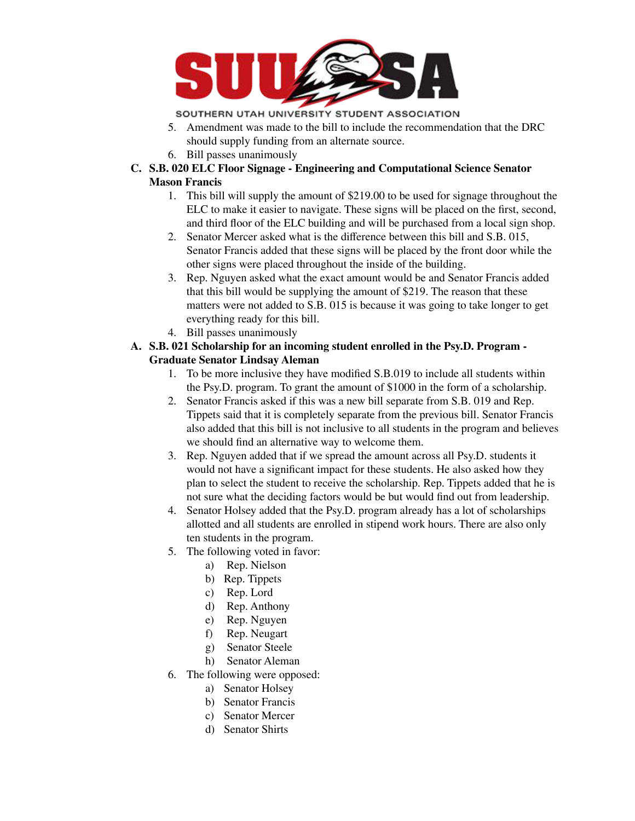

SOUTHERN UTAH UNIVERSITY STUDENT ASSOCIATION

- 5. Amendment was made to the bill to include the recommendation that the DRC should supply funding from an alternate source.
- 6. Bill passes unanimously
- **C. S.B. 020 ELC Floor Signage - Engineering and Computational Science Senator Mason Francis**
	- 1. This bill will supply the amount of \$219.00 to be used for signage throughout the ELC to make it easier to navigate. These signs will be placed on the first, second, and third floor of the ELC building and will be purchased from a local sign shop.
	- 2. Senator Mercer asked what is the difference between this bill and S.B. 015, Senator Francis added that these signs will be placed by the front door while the other signs were placed throughout the inside of the building.
	- 3. Rep. Nguyen asked what the exact amount would be and Senator Francis added that this bill would be supplying the amount of \$219. The reason that these matters were not added to S.B. 015 is because it was going to take longer to get everything ready for this bill.
	- 4. Bill passes unanimously
- **A. S.B. 021 Scholarship for an incoming student enrolled in the Psy.D. Program - Graduate Senator Lindsay Aleman**
	- 1. To be more inclusive they have modified S.B.019 to include all students within the Psy.D. program. To grant the amount of \$1000 in the form of a scholarship.
	- 2. Senator Francis asked if this was a new bill separate from S.B. 019 and Rep. Tippets said that it is completely separate from the previous bill. Senator Francis also added that this bill is not inclusive to all students in the program and believes we should find an alternative way to welcome them.
	- 3. Rep. Nguyen added that if we spread the amount across all Psy.D. students it would not have a significant impact for these students. He also asked how they plan to select the student to receive the scholarship. Rep. Tippets added that he is not sure what the deciding factors would be but would find out from leadership.
	- 4. Senator Holsey added that the Psy.D. program already has a lot of scholarships allotted and all students are enrolled in stipend work hours. There are also only ten students in the program.
	- 5. The following voted in favor:
		- a) Rep. Nielson
		- b) Rep. Tippets
		- c) Rep. Lord
		- d) Rep. Anthony
		- e) Rep. Nguyen
		- f) Rep. Neugart
		- g) Senator Steele
		- h) Senator Aleman
	- 6. The following were opposed:
		- a) Senator Holsey
		- b) Senator Francis
		- c) Senator Mercer
		- d) Senator Shirts